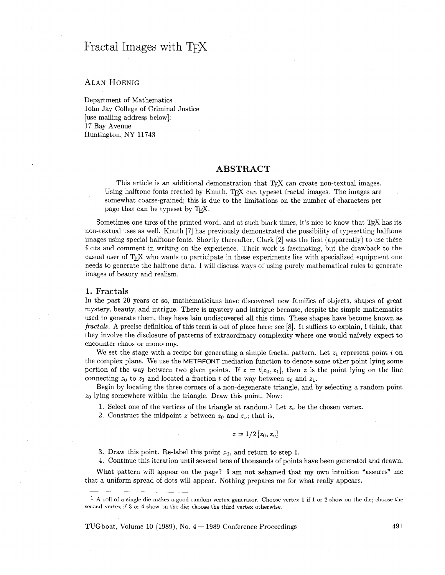# Fractal Images with T<sub>F</sub>X

# **ALAN HOENIG**

Department of Mathematics John Jay College of Criminal Justice [use mailing address below]: 17 Bay Avenue Huntington, NY 11743

## **ABSTRACT**

This article is an additional demonstration that  $T<sub>F</sub>X$  can create non-textual images. Using halftone fonts created by Knuth,  $T_{F}X$  can typeset fractal images. The images are somewhat coarse-grained; this is due to the limitations on the number of characters per I has aftere is an additional demonstration<br>Using halftone fonts created by Knuth, T<sub>E</sub>X case<br>somewhat coarse-grained; this is due to the line<br>page that can be typeset by T<sub>E</sub>X.

Sometimes one tires of the printed word, and at such black times, it's nice to know that  $T_{\rm F}X$  has its non-textual uses as well. Knuth [7] has previously demonstrated the possibility of typesetting halftone images using special halftone fonts. Shortly thereafter, Clark [2] was the first (apparently) to use these fonts and comment in writing on the experience. Their work is fascinating, but the drawback to the casual user of T<sub>EX</sub> who wants to participate in these experiments lies with specialized equipment one needs to generate the halftone data. I will discuss ways of using purely mathematical rules to generate images of beauty and realism.

#### **1. Fractals**

In the past 20 years or so, mathematicians have discovered new families of objects, shapes of great mystery, beauty, and intrigue. There is mystery and intrigue because, despite the simple mathematics used to generate them, they have lain undiscovered all this time. These shapes have become known as fractals. A precise definition of this term is out of place here; see [8]. It suffices to explain, I think, that they involve the disclosure of patterns of extraordinary complexity where one would naïvely expect to encounter chaos or monotony.

We set the stage with a recipe for generating a simple fractal pattern. Let  $z_i$  represent point  $i$  on the complex plane. We use the METAFONT mediation function to denote some other point lying some portion of the way between two given points. If  $z = t[z_0, z_1]$ , then z is the point lying on the line connecting  $z_0$  to  $z_1$  and located a fraction t of the way between  $z_0$  and  $z_1$ .

Begin by locating the three corners of a non-degenerate triangle, and by selecting a random point  $z_0$  lying somewhere within the triangle. Draw this point. Now:

1. Select one of the vertices of the triangle at random.<sup>1</sup> Let  $z_v$  be the chosen vertex.

2. Construct the midpoint z between  $z_0$  and  $z_v$ ; that is,

$$
z=1/2\left[z_0,z_v\right]
$$

3. Draw this point. Re-label this point  $z_0$ , and return to step 1.

4. Continue this iteration until several tens of thousands of points have been generated and drawn.

What pattern will appear on the page? I am not ashamed that my own intuition "assures" me that a uniform spread of dots will appear. Nothing prepares me for what really appears.

TUGboat, Volume 10 (1989), No.  $4-1989$  Conference Proceedings  $491$ 

**A** roll of a single die makes a good random vertex generator. Choose vertex 1 if 1 or **2** show on the die; choose the second vertex if **3** or 4 show on the die; choose the third vertex otherwise.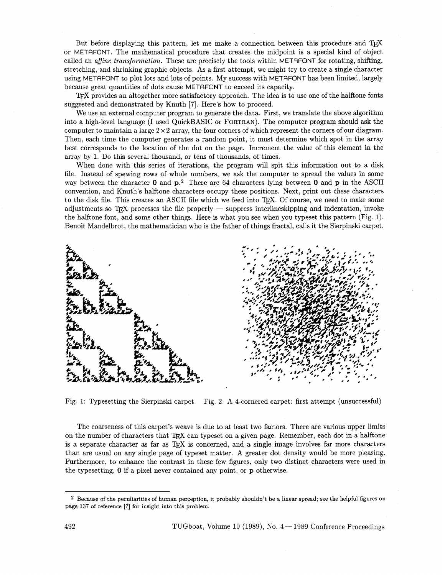But before displaying this pattern, let me make a connection between this procedure and T<sub>R</sub>X or METAFONT. The mathematical procedure that creates the midpoint is a special kind of object called an *afine transformation.* These are precisely the tools within METAFONT for rotating, shifting, stretching, and shrinking graphic objects. As a first attempt, we might try to create a single character using METAFONT to plot lots and lots of points. My success with METAFONT has been limited, largely because great quantities of dots cause METAFONT to exceed its capacity.

TFX provides an altogether more satisfactory approach. The idea is to use one of the halftone fonts suggested and demonstrated by Knuth **[7].** Here's how to proceed.

We use an external computer program to generate the data. First, we translate the above algorithm into a high-level language (I used QuickBASIC or FORTRAN). The computer program should ask the computer to maintain a large  $2 \times 2$  array, the four corners of which represent the corners of our diagram. Then, each time the computer generates a random point, it must determine which spot in the array best corresponds to the location of the dot on the page. Increment the value of this element in the array by 1. Do this several thousand, or tens of thousands, of times.

When done with this series of iterations, the program will spit this information out to a disk file. Instead of spewing rows of whole numbers, we ask the computer to spread the values in some way between the character **0** and **p.2** There are 64 characters lying between **0** and p in the ASCII convention, and Knuth's halftone characters occupy these positions. Next, print out these characters to the disk file. This creates an ASCII file which we feed into  $T_{\rm F}X$ . Of course, we need to make some adjustments so  $T_{\rm F}X$  processes the file properly  $-$  suppress interlineskipping and indentation, invoke the he the halftone font, and some other things. Here is what you see when you typeset this pattern (Fig. 1). Benoit Mandelbrot, the mathematician who is the father of things fractal, calls it the Sierpinski carpet.



Fig. 1: Typesetting the Sierpinski carpet Fig. 2: A 4-cornered carpet: first attempt (unsuccessful)

The coarseness of this carpet's weave is due to at least two factors. There are various upper limits on the number of characters that TEX can typeset on a given page. Remember, each dot in a halftone is a separate character as far as TEX is concerned, and a single image involves far more characters than are usual on any single page of typeset matter. **A** greater dot density would be more pleasing. Furthermore, to enhance the contrast in these few figures, only two distinct characters were used in the typesetting, **0** if a pixel never contained any point, or p otherwise.

**<sup>2</sup>** Because of the peculiarities of human perception, it probably shouldn't be a linear spread; see the helpful figures on page **137** of reference *[7]* for insight into this problem.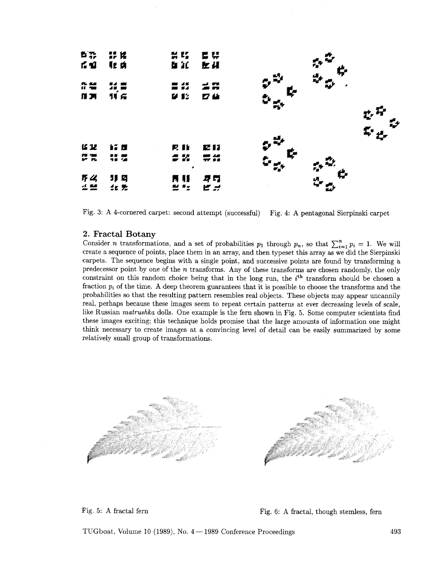

Fig. 3: A 4-cornered carpet: second attempt (successful) Fig. 4: A pentagonal Sierpinski carpet

### 2. Fractal Botany

Consider *n* transformations, and a set of probabilities  $p_1$  through  $p_n$ , so that  $\sum_{i=1}^n p_i = 1$ . We will create a sequence of points, place them in an array, and then typeset this array as we did the Sierpinski carpets. The sequence begins with a single point, and successive points are found by transforming a predecessor point by one of the n transforms. Any of these transforms are chosen randomly, the only constraint on this random choice being that in the long run, the  $i<sup>th</sup>$  transform should be chosen a fraction *p,* of the time. **A** deep theorem guarantees that it is possible to choose the transforms and the probabilities so that the resulting pattern resembles real objects. These objects may appear uncannily real, perhaps because these images seem to repeat certain patterns at ever decreasing levels of scale, like Russian matrushka dolls. One example is the fern shown in Fig. *5.* Some computer scientists find these images exciting; this technique holds promise that the large amounts of information one might think necessary to create images at a convincing level of detail can be easily summarized by some relatively small group of transformations.



Fig. 5: A fractal fern Fig. 6: A fractal, though stemless, fern

TUGboat, Volume 10 (1989), No. **4** - 1989 Conference Proceedings 493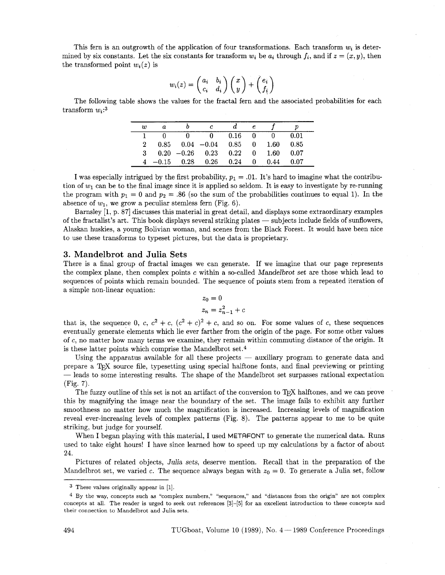This fern is an outgrowth of the application of four transformations. Each transform  $w_i$  is determined by six constants. Let the six constants for transform  $w_i$  be  $a_i$  through  $f_i$ , and if  $z = (x, y)$ , then the transformed point  $w_i(z)$  is

$$
w_i(z) = \begin{pmatrix} a_i & b_i \\ c_i & d_i \end{pmatrix} \begin{pmatrix} x \\ y \end{pmatrix} + \begin{pmatrix} e_i \\ f_i \end{pmatrix}
$$

The following table shows the values for the fractal fern and the associated probabilities for each transform  $w_i$ :<sup>3</sup>

| w            |  |                                              |                |                   |      |  |
|--------------|--|----------------------------------------------|----------------|-------------------|------|--|
|              |  |                                              | $0.16 \quad 0$ |                   | 0.01 |  |
| $2^{\circ}$  |  | $0.85$ $0.04$ $-0.04$ $0.85$ 0 $1.60$ $0.85$ |                |                   |      |  |
| $\mathbf{3}$ |  | $0.20 -0.26$ $0.23$ $0.22$ 0 $1.60$ $0.07$   |                |                   |      |  |
|              |  | $4 -0.15$ $0.28$ $0.26$ $0.24$ 0             |                | $0.44 \quad 0.07$ |      |  |

I was especially intrigued by the first probability,  $p_1 = .01$ . It's hard to imagine what the contribution of  $w_1$  can be to the final image since it is applied so seldom. It is easy to investigate by re-running the program with  $p_1 = 0$  and  $p_2 = .86$  (so the sum of the probabilities continues to equal 1). In the absence of  $w_1$ , we grow a peculiar stemless fern (Fig. 6).

Barnsley [l, p. 871 discusses this material in great detail, and displays some extraordinary examples absence of  $w_1$ , we grow a pecular stemless lern (Fig. 6).<br>Barnsley [1, p. 87] discusses this material in great detail, and displays some extraordinary examples<br>of the fractalist's art. This book displays several strikin Alaskan huskies, a young Bolivian woman, and scenes from the Black Forest. It would have been nice to use these transforms to typeset pictures, but the data is proprietary.

#### 3. Mandelbrot and **Julia** Sets

There is a final group of fractal images we can generate. If we imagine that our page represents the complex plane, then complex points c within a so-called Mandelbrot set are those which lead to sequences of points which remain bounded. The sequence of points stem from a repeated iteration of a simple non-linear equation:

$$
z_0 = 0
$$
  

$$
z_n = z_{n-1}^2 + c
$$

that is, the sequence 0, c,  $c^2 + c$ ,  $(c^2 + c)^2 + c$ , and so on. For some values of c, these sequences eventually generate elements which lie ever farther from the origin of the page. For some other values of c, no matter how many terms we examine, they remain within commuting distance of the origin. It is these latter points which comprise the Mandelbrot set.4

Using the apparatus available for all these projects  $-$  auxiliary program to generate data and prepare a T<sub>R</sub>X source file, typesetting using special halftone fonts, and final previewing or printing - leads to some interesting results. The shape of the Mandelbrot set surpasses rational expectation (Fig. 7).

The fuzzy outline of this set is not an artifact of the conversion to T<sub>E</sub>X halftones, and we can prove this by magnifying the image near the boundary of the set. The image fails to exhibit any further smoothness no matter how much the magnification is increased. Increasing levels of magnification reveal ever-increasing levels of complex patterns (Fig. 8). The patterns appear to me to be quite striking, but judge for yourself.

When I began playing with this material, I used METAFONT to generate the numerical data. Runs used to take eight hours! I have since learned how to speed up my calculations by a factor of about 24.

Pictures of related objects, Julia sets, deserve mention. Recall that in the preparation of the Mandelbrot set, we varied c. The sequence always began with  $z_0 = 0$ . To generate a Julia set, follow

These values originally appear in [I].

By the way, concepts such as "complex numbers," "sequences," and "distances from the origin" are not complex concepts at all. The reader is urged to seek out references **[3]-[5]** for an excellent introduction to these concepts and their connection to Mandelbrot and Julia sets.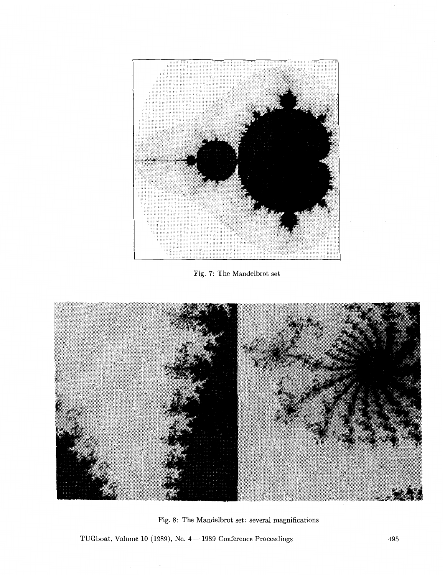

Fig. **7:** The Mandelbrot set



Fig. 8: The Mandelbrot set: several magnifications

TUGboat, Volume 10 (1989), No. 4 - 1989 Conference Proceedings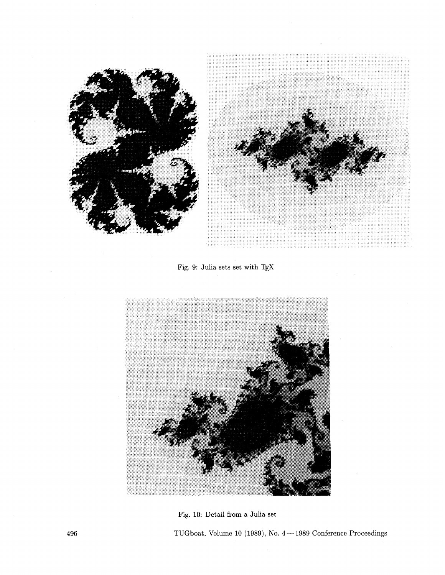

Fig. 9: Julia sets set with TEX



Fig. 10: Detail from a Julia set

TUGboat, Volume 10 (1989), No.  $4-1989$  Conference Proceedings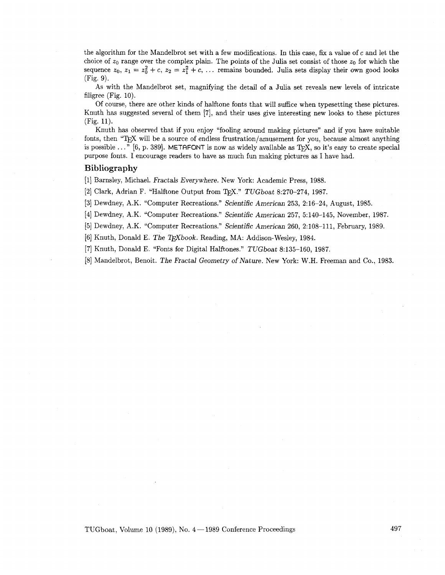the algorithm for the Mandelbrot set with a few modifications. In this case, fix a value of c and let the choice of  $z_0$  range over the complex plain. The points of the Julia set consist of those  $z_0$  for which the sequence  $z_0$ ,  $z_1 = z_0^2 + c$ ,  $z_2 = z_1^2 + c$ , ... remains bounded. Julia sets display their own good looks (Fig. 9).

As with the Mandelbrot set, magnifying the detail of a Julia set reveals new levels of intricate filigree (Fig. 10).

Of course, there are other kinds of halftone fonts that will suffice when typesetting these pictures. Knuth has suggested several of them [7], and their uses give interesting new looks to these pictures (Fig. 11).

Knuth has observed that if you enjoy "fooling around making pictures" and if you have suitable fonts, then "TEX will be a source of endless frustration/amusement for you, because almost anything is possible . . ." [6, p. 3891. METRFONT is now as widely available **as** TEX, so it's easy to create special purpose fonts. I encourage readers to have as much fun making pictures as I have had.

#### **Bibliography**

[I] Barnsley, Michael. Fractals Everywhere. New York: Academic Press, 1988.

[2] Clark, Adrian F. "Halftone Output from TrX."  $TUGboat 8:270-274$ , 1987.

[3] Dewdney, A.K. "Computer Recreations." Scientific American 253, 2:16-24, August, 1985

[4] Dewdney, A.K. "Computer Recreations." Scientific American 257, 5:140-145, November, 1987.

[5] Dewdney, A.K. "Computer Recreations." Scientific American 260, 2:108-111, February, 1989.

[6] Knuth, Donald E. The T<sub>F</sub>Xbook. Reading, MA: Addison-Wesley, 1984.

[7] Knuth, Donald E. "Fonts for Digital Halftones." TUGboat 8:135-160, 1987.

[8] Mandelbrot, Benoit. The Fractal Geometry of Nature. New York: W.H. Freeman and Co., 1983.